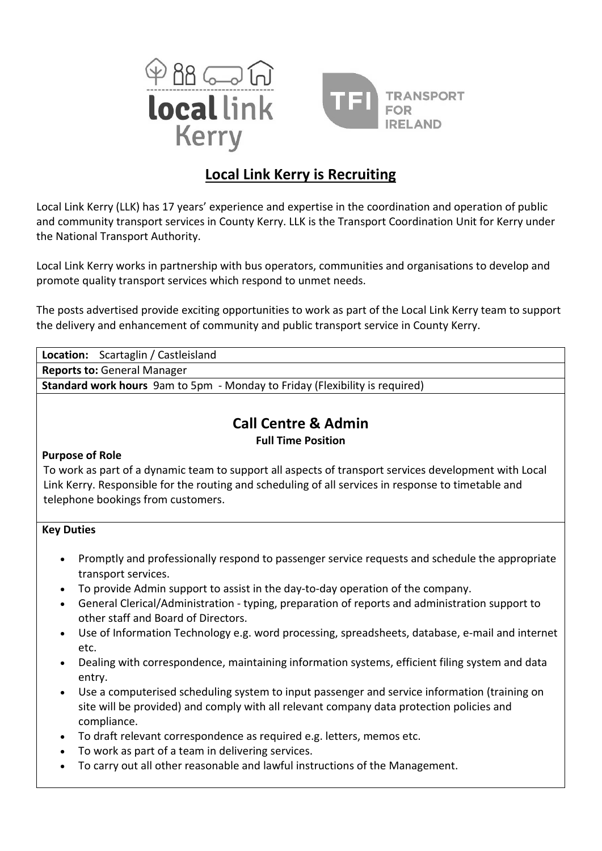



# **Local Link Kerry is Recruiting**

Local Link Kerry (LLK) has 17 years' experience and expertise in the coordination and operation of public and community transport services in County Kerry. LLK is the Transport Coordination Unit for Kerry under the National Transport Authority.

Local Link Kerry works in partnership with bus operators, communities and organisations to develop and promote quality transport services which respond to unmet needs.

The posts advertised provide exciting opportunities to work as part of the Local Link Kerry team to support the delivery and enhancement of community and public transport service in County Kerry.

| Scartaglin / Castleisland<br>Location:                                                                |
|-------------------------------------------------------------------------------------------------------|
| <b>Reports to: General Manager</b>                                                                    |
| <b>Standard work hours</b> 9am to 5pm - Monday to Friday (Flexibility is required)                    |
|                                                                                                       |
| <b>Call Centre &amp; Admin</b>                                                                        |
| <b>Full Time Position</b>                                                                             |
| <b>Purpose of Role</b>                                                                                |
| To work as part of a dynamic team to support all aspects of transport services development with Local |
| Link Kerry. Responsible for the routing and scheduling of all services in response to timetable and   |
| telephone bookings from customers.                                                                    |
|                                                                                                       |
| <b>Key Duties</b>                                                                                     |

- Promptly and professionally respond to passenger service requests and schedule the appropriate transport services.
- To provide Admin support to assist in the day-to-day operation of the company.
- General Clerical/Administration typing, preparation of reports and administration support to other staff and Board of Directors.
- Use of Information Technology e.g. word processing, spreadsheets, database, e-mail and internet etc.
- Dealing with correspondence, maintaining information systems, efficient filing system and data entry.
- Use a computerised scheduling system to input passenger and service information (training on site will be provided) and comply with all relevant company data protection policies and compliance.
- To draft relevant correspondence as required e.g. letters, memos etc.
- To work as part of a team in delivering services.
- To carry out all other reasonable and lawful instructions of the Management.